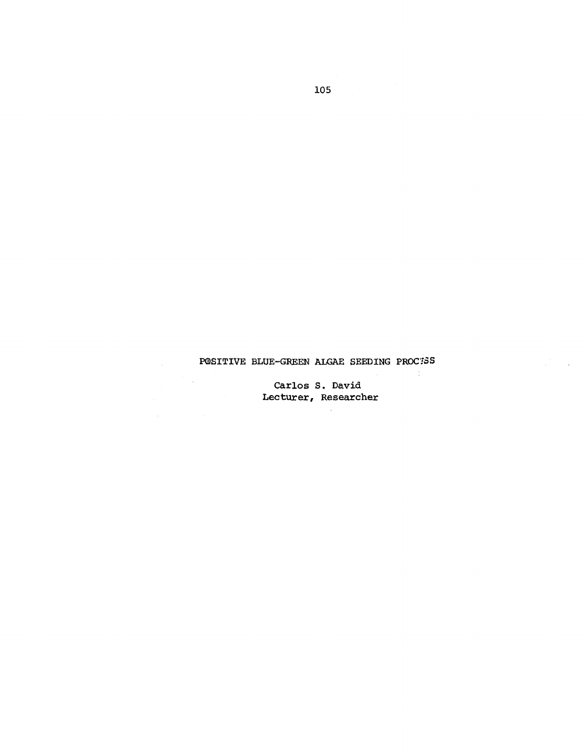## POSITIVE BLUE-GREEN ALGAE SEEDING PROCESS

 $\sim 3\%$ 

 $\mathcal{L}$ 

Carlos S. David<br>Lecturer, Researcher

 $\mathcal{L}^{\mathcal{L}}$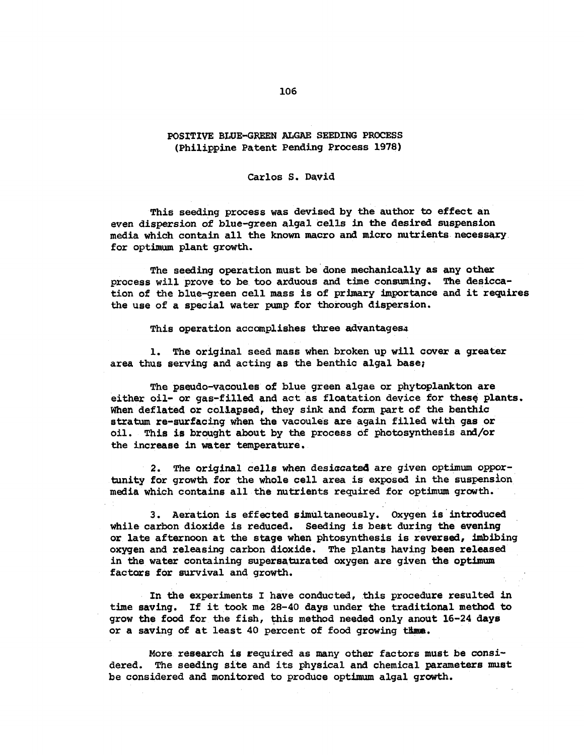## POSITIVE BLUE-GREEN ALGAE SEEDING PROCESS (Philippine Patent Pending Process 1978)

## Carlos S. David

This seeding process was devised by the author to effect an even dispersion of blue-green algal cells in the desired suspension media which contain all the known macro and micro nutrients necessary. for optimum plant growth.

The seeding operation must be done mechanically as any other process will prove to be too arduous and time consuming. The desiccation of the blue-green cell mass is of primary importance and it requires the use of a special water pump for thorough dispersion.

This operation accomplishes three advantages:

1. The original seed mass when broken up will cover a greater area thus serving and acting as the benthic algal base;

The pseudo-vacoules of blue green algae or phytoplankton are either oil- or gas-filled and act as floatation device for these plants. When deflated or collapsed, they sink and form part of the benthic stratum re-surfacing when the vacoules are again filled with gas or oil. This is brought about by the process of photosynthesis and/or the increase in water temperature.

2. The original cells when desiccated are given optimum opportunity for growth for the whole cell area is exposed in the suspension media which contains all the nutrients required for optimum growth.

3. Aeration is effected simultaneously. Oxygen is introduced while carbon dioxide is reduced. Seeding is best during the evening or late afternoon at the stage when phtosynthesis is reversed, imbibing oxygen and releasing carbon dioxide. The plants having been released in the water containing supersaturated oxygen are given the optimum factors for survival and growth.

In the experiments I have conducted, this procedure resulted in time saving. If it took me 28-40 days under the traditional method to grow the food for the fish, this method needed only anout 16-24 days or a saving of at least 40 percent of food growing thme.

More research is required as many other factors must be considered. The seeding site and its physical and chemical parameters must be considered and monitored to produce optimum algal growth.